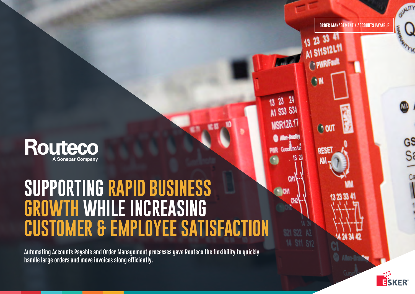

# **SUPPORTING RAPID BUSINESS GROWTH WHILE INCREASING CUSTOMER & EMPLOYEE SATISFACTION**

Automating Accounts Payable and Order Management processes gave Routeco the flexibility to quickly handle large orders and move invoices along efficiently.

23 33 41 AI SISIZLI PWRFault **A1 S33 S34 MSR126.11 OUT** Allen-Bradie Guardimorte **RESET** 

13 23

**NOW** 

**ORDER MANAGEMENT / ACCOUNTS PAYABLE**



 $\frac{GS}{S}$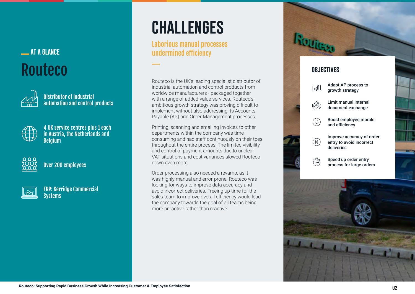### **AT A GLANCE** Routeco



Distributor of industrial automation and control products



4 UK service centres plus 1 each in Austria, the Netherlands and Belgium



Over 200 employees



ERP: Kerridge Commercial **Systems** 

## **challenges**

Laborious manual processes undermined efficiency

Routeco is the UK's leading specialist distributor of industrial automation and control products from worldwide manufacturers - packaged together with a range of added-value services. Routeco's ambitious growth strategy was proving difficult to implement without also addressing its Accounts Payable (AP) and Order Management processes.

Printing, scanning and emailing invoices to other departments within the company was time consuming and had staff continuously on their toes throughout the entire process. The limited visibility and control of payment amounts due to unclear VAT situations and cost variances slowed Routeco down even more.

Order processing also needed a revamp, as it was highly manual and error-prone. Routeco was looking for ways to improve data accuracy and avoid incorrect deliveries. Freeing up time for the sales team to improve overall efficiency would lead the company towards the goal of all teams being more proactive rather than reactive.



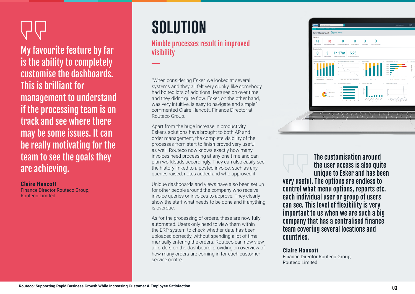My favourite feature by far is the ability to completely customise the dashboards. This is brilliant for management to understand if the processing team is on track and see where there may be some issues. It can be really motivating for the team to see the goals they are achieving.

### **Claire Hancott**

Finance Director Routeco Group, Routeco Limited

## **solution**

### Nimble processes result in improved visibility

"When considering Esker, we looked at several systems and they all felt very clunky, like somebody had bolted lots of additional features on over time and they didn't quite flow. Esker, on the other hand, was very intuitive, is easy to navigate and simple," commented Claire Hancott, Finance Director at Routeco Group.

Apart from the huge increase in productivity Esker's solutions have brought to both AP and order management, the complete visibility of the processes from start to finish proved very useful as well. Routeco now knows exactly how many invoices need processing at any one time and can plan workloads accordingly. They can also easily see the history linked to a posted invoice, such as any queries raised, notes added and who approved it.

Unique dashboards and views have also been set up for other people around the company who receive invoice queries or invoices to approve. They clearly show the staff what needs to be done and if anything is overdue.

As for the processing of orders, these are now fully automated. Users only need to view them within the ERP system to check whether data has been uploaded correctly, without spending a lot of time manually entering the orders. Routeco can now view all orders on the dashboard, providing an overview of how many orders are coming in for each customer service centre.



The customisation around the user access is also quite unique to Esker and has been very useful. The options are endless to control what menu options, reports etc. each individual user or group of users can see. This level of flexibility is very important to us when we are such a big company that has a centralised finance team covering several locations and countries.

### **Claire Hancott**

Finance Director Routeco Group, Routeco Limited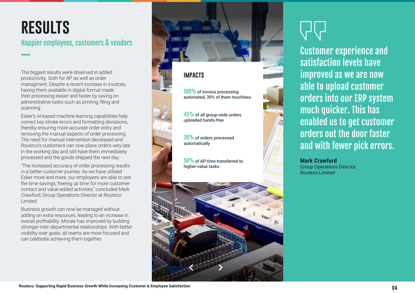### **results** Happier employees, customers & vendors

The biggest results were observed in added productivity, both for AP as well as order managment. Despite a recent increase in invoices, having them available in digital format made their processing easier and faster by saving on administrative tasks such as printing, filing and scanning.

Esker's AI-based machine learning capabilities help correct key stroke errors and formatting deviations, thereby ensuring more accurate order entry and removing the manual aspects of order processing. The need for manual intervention decreased and Routeco's customers can now place orders very late in the working day and still have them immediately processed and the goods shipped the next day.

"The increased accuracy of order processing results in a better customer journey. As we have utilised Esker more and more, our employees are able to see the time savings, freeing up time for more customer contact and value-added activities," concluded Mark Crawford, Group Operations Director at Routeco Limited.

Business growth can now be managed without adding on extra resources, leading to an increase in overall profitability. Morale has improved by building stronger inter-departmental relationships. With better visibility over goals, all teams are more focused and can celebrate achieving them together.



### **impacts**

100% of invoice processing automated, 30% of them touchless

 $45\%$  of all group-wide orders uploaded hands-free

30% of orders processed automatically

50% of AP time transferred to higher-value tasks



Customer experience and satisfaction levels have improved as we are now able to upload customer orders into our ERP system much quicker. This has enabled us to get customer orders out the door faster and with fewer pick errors.

#### **Mark Crawford**

Group Operations Director, Routeco Limited